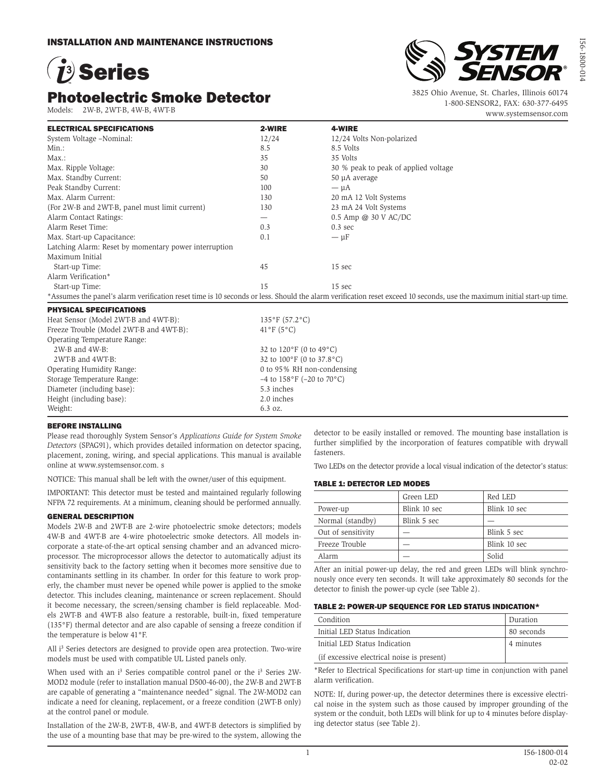# 1<sup>3</sup> Series

# Photoelectric Smoke Detector

Models: 2W-B, 2WT-B, 4W-B, 4WT-B



I56-1800-014

56-1800-0

3825 Ohio Avenue, St. Charles, Illinois 60174 1-800-SENSOR2, FAX: 630-377-6495 www.systemsensor.com

| <b>ELECTRICAL SPECIFICATIONS</b>                      | 2-WIRE                        | 4-WIRE                                                                                                                                                                  |  |  |
|-------------------------------------------------------|-------------------------------|-------------------------------------------------------------------------------------------------------------------------------------------------------------------------|--|--|
| System Voltage -Nominal:                              | 12/24                         | 12/24 Volts Non-polarized                                                                                                                                               |  |  |
| $Min.$ :                                              | 8.5                           | 8.5 Volts                                                                                                                                                               |  |  |
| $Max.$ :                                              | 35                            | 35 Volts                                                                                                                                                                |  |  |
| Max. Ripple Voltage:                                  | 30                            | 30 % peak to peak of applied voltage                                                                                                                                    |  |  |
| Max. Standby Current:                                 | 50                            | 50 µA average                                                                                                                                                           |  |  |
| Peak Standby Current:                                 | 100                           | $-\mu A$                                                                                                                                                                |  |  |
| Max. Alarm Current:                                   | 130                           | 20 mA 12 Volt Systems                                                                                                                                                   |  |  |
| (For 2W-B and 2WT-B, panel must limit current)        | 130                           | 23 mA 24 Volt Systems                                                                                                                                                   |  |  |
| Alarm Contact Ratings:                                |                               | $0.5$ Amp @ 30 V AC/DC                                                                                                                                                  |  |  |
| Alarm Reset Time:                                     | 0.3                           | $0.3 \text{ sec}$                                                                                                                                                       |  |  |
| Max. Start-up Capacitance:                            | 0.1                           | $-\mu F$                                                                                                                                                                |  |  |
| Latching Alarm: Reset by momentary power interruption |                               |                                                                                                                                                                         |  |  |
| Maximum Initial                                       |                               |                                                                                                                                                                         |  |  |
| Start-up Time:                                        | 45                            | 15 sec                                                                                                                                                                  |  |  |
| Alarm Verification*                                   |                               |                                                                                                                                                                         |  |  |
| Start-up Time:                                        | 15                            | 15 sec                                                                                                                                                                  |  |  |
|                                                       |                               | *Assumes the panel's alarm verification reset time is 10 seconds or less. Should the alarm verification reset exceed 10 seconds, use the maximum initial start-up time. |  |  |
| <b>PHYSICAL SPECIFICATIONS</b>                        |                               |                                                                                                                                                                         |  |  |
| Heat Sensor (Model 2WT-B and 4WT-B):                  | $135^{\circ}F(57.2^{\circ}C)$ |                                                                                                                                                                         |  |  |
| Freeze Trouble (Model 2WT-B and 4WT-B):               | $41^{\circ}$ F (5°C)          |                                                                                                                                                                         |  |  |
| Operating Temperature Range:                          |                               |                                                                                                                                                                         |  |  |
| 2W-B and 4W-B:                                        |                               | 32 to 120°F (0 to 49°C)                                                                                                                                                 |  |  |
| 2WT-B and 4WT-B:                                      |                               | 32 to 100°F (0 to 37.8°C)                                                                                                                                               |  |  |
| Operating Humidity Range:                             |                               | 0 to 95% RH non-condensing                                                                                                                                              |  |  |
| Storage Temperature Range:                            |                               | $-4$ to $158^{\circ}$ F ( $-20$ to $70^{\circ}$ C)                                                                                                                      |  |  |
| Diameter (including base):                            | 5.3 inches                    |                                                                                                                                                                         |  |  |
| Height (including base):                              | 2.0 inches                    |                                                                                                                                                                         |  |  |
| Weight:                                               | 6.3 oz.                       |                                                                                                                                                                         |  |  |

#### BEFORE INSTALLING

Please read thoroughly System Sensor's *Applications Guide for System Smoke Detectors* (SPAG91), which provides detailed information on detector spacing, placement, zoning, wiring, and special applications. This manual is available online at www.systemsensor.com. s

NOTICE: This manual shall be left with the owner/user of this equipment.

IMPORTANT: This detector must be tested and maintained regularly following NFPA 72 requirements. At a minimum, cleaning should be performed annually.

#### GENERAL DESCRIPTION

Models 2W-B and 2WT-B are 2-wire photoelectric smoke detectors; models 4W-B and 4WT-B are 4-wire photoelectric smoke detectors. All models incorporate a state-of-the-art optical sensing chamber and an advanced microprocessor. The microprocessor allows the detector to automatically adjust its sensitivity back to the factory setting when it becomes more sensitive due to contaminants settling in its chamber. In order for this feature to work properly, the chamber must never be opened while power is applied to the smoke detector. This includes cleaning, maintenance or screen replacement. Should it become necessary, the screen/sensing chamber is field replaceable. Models 2WT-B and 4WT-B also feature a restorable, built-in, fixed temperature (135°F) thermal detector and are also capable of sensing a freeze condition if the temperature is below 41°F.

All i<sup>3</sup> Series detectors are designed to provide open area protection. Two-wire models must be used with compatible UL Listed panels only.

When used with an i<sup>3</sup> Series compatible control panel or the i<sup>3</sup> Series 2W-MOD2 module (refer to installation manual D500-46-00), the 2W-B and 2WT-B are capable of generating a "maintenance needed" signal. The 2W-MOD2 can indicate a need for cleaning, replacement, or a freeze condition (2WT-B only) at the control panel or module.

Installation of the 2W-B, 2WT-B, 4W-B, and 4WT-B detectors is simplified by the use of a mounting base that may be pre-wired to the system, allowing the detector to be easily installed or removed. The mounting base installation is further simplified by the incorporation of features compatible with drywall fasteners.

Two LEDs on the detector provide a local visual indication of the detector's status:

#### TABLE 1: DETECTOR LED MODES

|                    | Green LED    | Red LED      |
|--------------------|--------------|--------------|
| Power-up           | Blink 10 sec | Blink 10 sec |
| Normal (standby)   | Blink 5 sec  |              |
| Out of sensitivity |              | Blink 5 sec  |
| Freeze Trouble     |              | Blink 10 sec |
| Alarm              |              | Solid        |

After an initial power-up delay, the red and green LEDs will blink synchronously once every ten seconds. It will take approximately 80 seconds for the detector to finish the power-up cycle (see Table 2).

#### TABLE 2: POWER-UP SEQUENCE FOR LED STATUS INDICATION\*

| Condition                                  | Duration   |
|--------------------------------------------|------------|
| Initial LED Status Indication              | 80 seconds |
| Initial LED Status Indication              | 4 minutes  |
| (if excessive electrical noise is present) |            |

\*Refer to Electrical Specifications for start-up time in conjunction with panel alarm verification.

NOTE: If, during power-up, the detector determines there is excessive electrical noise in the system such as those caused by improper grounding of the system or the conduit, both LEDs will blink for up to 4 minutes before displaying detector status (see Table 2).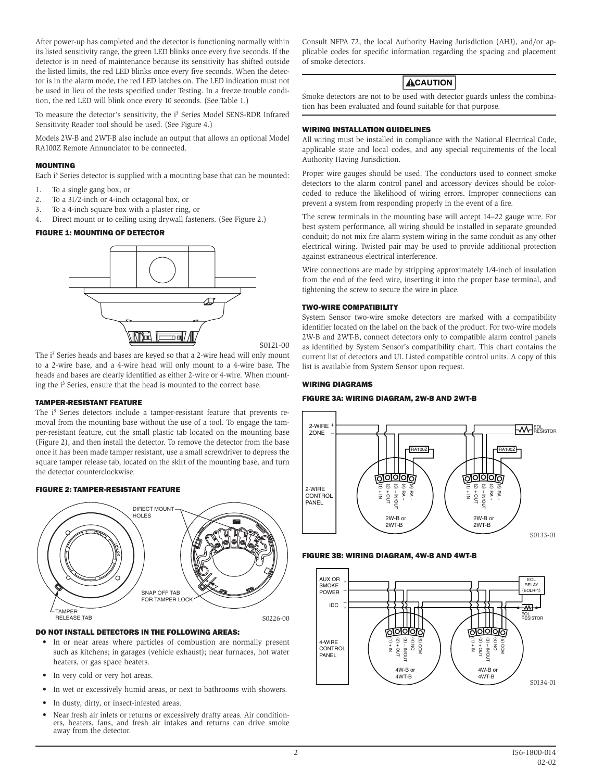After power-up has completed and the detector is functioning normally within its listed sensitivity range, the green LED blinks once every five seconds. If the detector is in need of maintenance because its sensitivity has shifted outside the listed limits, the red LED blinks once every five seconds. When the detector is in the alarm mode, the red LED latches on. The LED indication must not be used in lieu of the tests specified under Testing. In a freeze trouble condition, the red LED will blink once every 10 seconds. (See Table 1.)

To measure the detector's sensitivity, the i<sup>3</sup> Series Model SENS-RDR Infrared Sensitivity Reader tool should be used. (See Figure 4.)

Models 2W-B and 2WT-B also include an output that allows an optional Model RA100Z Remote Annunciator to be connected.

#### MOUNTING

Each i<sup>3</sup> Series detector is supplied with a mounting base that can be mounted:

- 1. To a single gang box, or
- 2. To a 31⁄2-inch or 4-inch octagonal box, or
- 3. To a 4-inch square box with a plaster ring, or
- 4. Direct mount or to ceiling using drywall fasteners. (See Figure 2.)

#### FIGURE 1: MOUNTING OF DETECTOR



S0121-00

The i<sup>3</sup> Series heads and bases are keyed so that a 2-wire head will only mount to a 2-wire base, and a 4-wire head will only mount to a 4-wire base. The heads and bases are clearly identified as either 2-wire or 4-wire. When mounting the i<sup>3</sup> Series, ensure that the head is mounted to the correct base.

#### TAMPER-RESISTANT FEATURE

The i<sup>3</sup> Series detectors include a tamper-resistant feature that prevents removal from the mounting base without the use of a tool. To engage the tamper-resistant feature, cut the small plastic tab located on the mounting base (Figure 2), and then install the detector. To remove the detector from the base once it has been made tamper resistant, use a small screwdriver to depress the square tamper release tab, located on the skirt of the mounting base, and turn the detector counterclockwise.

#### FIGURE 2: TAMPER-RESISTANT FEATURE



#### DO NOT INSTALL DETECTORS IN THE FOLLOWING AREAS:

- In or near areas where particles of combustion are normally present such as kitchens; in garages (vehicle exhaust); near furnaces, hot water heaters, or gas space heaters.
- In very cold or very hot areas.
- In wet or excessively humid areas, or next to bathrooms with showers.
- In dusty, dirty, or insect-infested areas.
- Near fresh air inlets or returns or excessively drafty areas. Air conditioners, heaters, fans, and fresh air intakes and returns can drive smoke away from the detector.

Consult NFPA 72, the local Authority Having Jurisdiction (AHJ), and/or applicable codes for specific information regarding the spacing and placement of smoke detectors.

# **ACAUTION**

Smoke detectors are not to be used with detector guards unless the combination has been evaluated and found suitable for that purpose.

#### WIRING INSTALLATION GUIDELINES

All wiring must be installed in compliance with the National Electrical Code, applicable state and local codes, and any special requirements of the local Authority Having Jurisdiction.

Proper wire gauges should be used. The conductors used to connect smoke detectors to the alarm control panel and accessory devices should be colorcoded to reduce the likelihood of wiring errors. Improper connections can prevent a system from responding properly in the event of a fire.

The screw terminals in the mounting base will accept 14–22 gauge wire. For best system performance, all wiring should be installed in separate grounded conduit; do not mix fire alarm system wiring in the same conduit as any other electrical wiring. Twisted pair may be used to provide additional protection against extraneous electrical interference.

Wire connections are made by stripping approximately 1⁄4-inch of insulation from the end of the feed wire, inserting it into the proper base terminal, and tightening the screw to secure the wire in place.

#### TWO-WIRE COMPATIBILITY

System Sensor two-wire smoke detectors are marked with a compatibility identifier located on the label on the back of the product. For two-wire models 2W-B and 2WT-B, connect detectors only to compatible alarm control panels as identified by System Sensor's compatibility chart. This chart contains the current list of detectors and UL Listed compatible control units. A copy of this list is available from System Sensor upon request.

#### WIRING DIAGRAMS

#### FIGURE 3A: WIRING DIAGRAM, 2W-B AND 2WT-B



#### FIGURE 3B: WIRING DIAGRAM, 4W-B AND 4WT-B

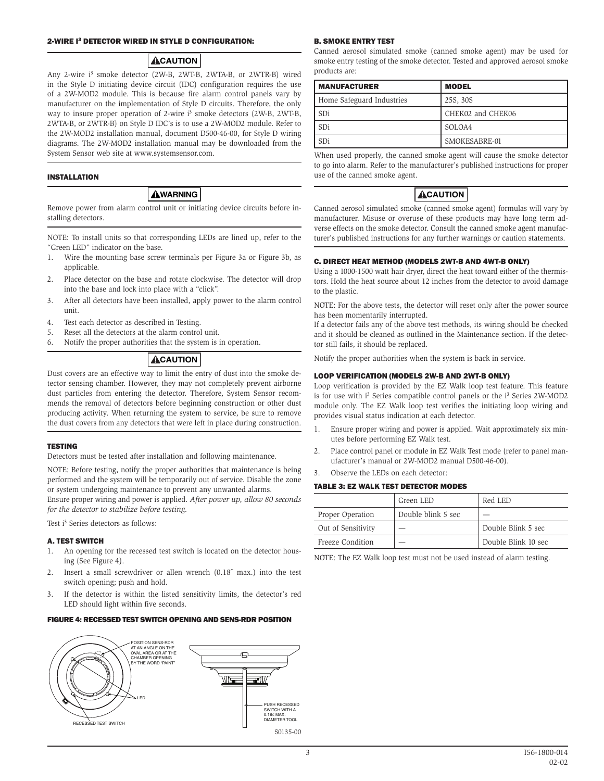#### 2-WIRE I3 DETECTOR WIRED IN STYLE D CONFIGURATION:

## **ACAUTION**

Any 2-wire i<sup>3</sup> smoke detector (2W-B, 2WT-B, 2WTA-B, or 2WTR-B) wired in the Style D initiating device circuit (IDC) configuration requires the use of a 2W-MOD2 module. This is because fire alarm control panels vary by manufacturer on the implementation of Style D circuits. Therefore, the only way to insure proper operation of 2-wire i<sup>3</sup> smoke detectors (2W-B, 2WT-B, 2WTA-B, or 2WTR-B) on Style D IDC's is to use a 2W-MOD2 module. Refer to the 2W-MOD2 installation manual, document D500-46-00, for Style D wiring diagrams. The 2W-MOD2 installation manual may be downloaded from the System Sensor web site at www.systemsensor.com.

#### INSTALLATION

# **AWARNING**

Remove power from alarm control unit or initiating device circuits before installing detectors.

NOTE: To install units so that corresponding LEDs are lined up, refer to the "Green LED" indicator on the base.

- 1. Wire the mounting base screw terminals per Figure 3a or Figure 3b, as applicable.
- 2. Place detector on the base and rotate clockwise. The detector will drop into the base and lock into place with a "click".
- 3. After all detectors have been installed, apply power to the alarm control unit.
- 4. Test each detector as described in Testing.
- 5. Reset all the detectors at the alarm control unit.
- 6. Notify the proper authorities that the system is in operation.

# **ACAUTION**

Dust covers are an effective way to limit the entry of dust into the smoke detector sensing chamber. However, they may not completely prevent airborne dust particles from entering the detector. Therefore, System Sensor recommends the removal of detectors before beginning construction or other dust producing activity. When returning the system to service, be sure to remove the dust covers from any detectors that were left in place during construction.

#### **TESTING**

Detectors must be tested after installation and following maintenance.

NOTE: Before testing, notify the proper authorities that maintenance is being performed and the system will be temporarily out of service. Disable the zone or system undergoing maintenance to prevent any unwanted alarms. Ensure proper wiring and power is applied. *After power up, allow 80 seconds* 

*for the detector to stabilize before testing.*

Test i<sup>3</sup> Series detectors as follows:

#### A. TEST SWITCH

- 1. An opening for the recessed test switch is located on the detector housing (See Figure 4).
- 2. Insert a small screwdriver or allen wrench (0.18˝ max.) into the test switch opening; push and hold.
- 3. If the detector is within the listed sensitivity limits, the detector's red LED should light within five seconds.

#### FIGURE 4: RECESSED TEST SWITCH OPENING AND SENS-RDR POSITION



# B. SMOKE ENTRY TEST

Canned aerosol simulated smoke (canned smoke agent) may be used for smoke entry testing of the smoke detector. Tested and approved aerosol smoke products are:

| <b>MANUFACTURER</b>       | <b>MODEL</b>      |
|---------------------------|-------------------|
| Home Safeguard Industries | 25S, 30S          |
| SDi                       | CHEK02 and CHEK06 |
| SDi                       | SOLOA4            |
| SDi                       | SMOKESABRE-01     |

When used properly, the canned smoke agent will cause the smoke detector to go into alarm. Refer to the manufacturer's published instructions for proper use of the canned smoke agent.

# **ACAUTION**

Canned aerosol simulated smoke (canned smoke agent) formulas will vary by manufacturer. Misuse or overuse of these products may have long term adverse effects on the smoke detector. Consult the canned smoke agent manufacturer's published instructions for any further warnings or caution statements.

# C. DIRECT HEAT METHOD (MODELS 2WT-B AND 4WT-B ONLY)

Using a 1000-1500 watt hair dryer, direct the heat toward either of the thermistors. Hold the heat source about 12 inches from the detector to avoid damage to the plastic.

NOTE: For the above tests, the detector will reset only after the power source has been momentarily interrupted.

If a detector fails any of the above test methods, its wiring should be checked and it should be cleaned as outlined in the Maintenance section. If the detector still fails, it should be replaced.

Notify the proper authorities when the system is back in service.

## LOOP VERIFICATION (MODELS 2W-B AND 2WT-B ONLY)

Loop verification is provided by the EZ Walk loop test feature. This feature is for use with i<sup>3</sup> Series compatible control panels or the i<sup>3</sup> Series 2W-MOD2 module only. The EZ Walk loop test verifies the initiating loop wiring and provides visual status indication at each detector.

- 1. Ensure proper wiring and power is applied. Wait approximately six minutes before performing EZ Walk test.
- 2. Place control panel or module in EZ Walk Test mode (refer to panel manufacturer's manual or 2W-MOD2 manual D500-46-00).
- 3. Observe the LEDs on each detector:

#### TABLE 3: EZ WALK TEST DETECTOR MODES

|                    | Green LED          | Red LED             |
|--------------------|--------------------|---------------------|
| Proper Operation   | Double blink 5 sec |                     |
| Out of Sensitivity |                    | Double Blink 5 sec  |
| Freeze Condition   |                    | Double Blink 10 sec |

NOTE: The EZ Walk loop test must not be used instead of alarm testing.